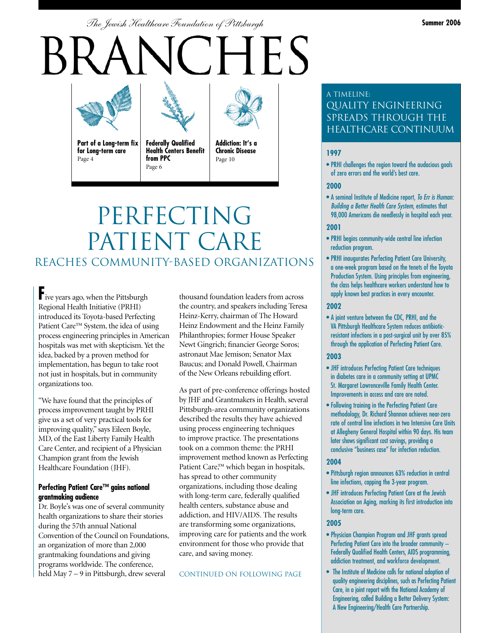*The Jewish Healthcare Foundation of Pittsburgh* **Summer 2006**

# **HES**



**Part of a Long-term fix for Long-term care** Page 4

**Federally Qualified Health Centers Benefit from PPC**

Page 6



**Addiction: It's a Chronic Disease** Page 10

## PERFECTING PATIENT CARE REACHES COMMUNITY-BASED ORGANIZATIONS

**F**ive years ago, when the Pittsburgh Regional Health Initiative (PRHI) introduced its Toyota-based Perfecting Patient Care™ System, the idea of using process engineering principles in American hospitals was met with skepticism. Yet the idea, backed by a proven method for implementation, has begun to take root not just in hospitals, but in community organizations too.

"We have found that the principles of process improvement taught by PRHI give us a set of very practical tools for improving quality," says Eileen Boyle, MD, of the East Liberty Family Health Care Center, and recipient of a Physician Champion grant from the Jewish Healthcare Foundation (JHF).

#### **Perfecting Patient Care™ gains national grantmaking audience**

Dr. Boyle's was one of several community health organizations to share their stories during the 57th annual National Convention of the Council on Foundations, an organization of more than 2,000 grantmaking foundations and giving programs worldwide. The conference, held May 7 – 9 in Pittsburgh, drew several

thousand foundation leaders from across the country, and speakers including Teresa Heinz-Kerry, chairman of The Howard Heinz Endowment and the Heinz Family Philanthropies; former House Speaker Newt Gingrich; financier George Soros; astronaut Mae Jemison; Senator Max Baucus; and Donald Powell, Chairman of the New Orleans rebuilding effort.

As part of pre-conference offerings hosted by JHF and Grantmakers in Health, several Pittsburgh-area community organizations described the results they have achieved using process engineering techniques to improve practice. The presentations took on a common theme: the PRHI improvement method known as Perfecting Patient Care,™ which began in hospitals, has spread to other community organizations, including those dealing with long-term care, federally qualified health centers, substance abuse and addiction, and HIV/AIDS. The results are transforming some organizations, improving care for patients and the work environment for those who provide that care, and saving money.

#### CONTINUED ON FOLLOWING PAGE

#### A Timeline: Quality Engineering SPREADS THROUGH THE Healthcare Continuum

#### **1997**

• PRHI challenges the region toward the audacious goals of zero errors and the world's best care.

#### **2000**

• A seminal Institute of Medicine report, To Err is Human: Building a Better Health Care System, estimates that 98,000 Americans die needlessly in hospital each year.

#### **2001**

- PRHI begins community-wide central line infection reduction program.
- PRHI inaugurates Perfecting Patient Care University, a one-week program based on the tenets of the Toyota Production System. Using principles from engineering, the class helps healthcare workers understand how to apply known best practices in every encounter.

#### **2002**

• A joint venture between the CDC, PRHI, and the VA Pittsburgh Healthcare System reduces antibioticresistant infections in a post-surgical unit by over 85% through the application of Perfecting Patient Care.

#### **2003**

- JHF introduces Perfecting Patient Care techniques in diabetes care in a community setting at UPMC St. Margaret Lawrenceville Family Health Center. Improvements in access and care are noted.
- Following training in the Perfecting Patient Care methodology, Dr. Richard Shannon achieves near-zero rate of central line infections in two Intensive Care Units at Allegheny General Hospital within 90 days. His team later shows significant cost savings, providing a conclusive "business case" for infection reduction.

#### **2004**

- Pittsburgh region announces 63% reduction in central line infections, capping the 3-year program.
- JHF introduces Perfecting Patient Care at the Jewish Association on Aging, marking its first introduction into long-term care.

#### **2005**

- Physician Champion Program and JHF grants spread Perfecting Patient Care into the broader community – Federally Qualified Health Centers, AIDS programming, addiction treatment, and workforce development.
- The Institute of Medicine calls for national adoption of quality engineering disciplines, such as Perfecting Patient Care, in a joint report with the National Academy of Engineering, called Building a Better Delivery System: A New Engineering/Health Care Partnership.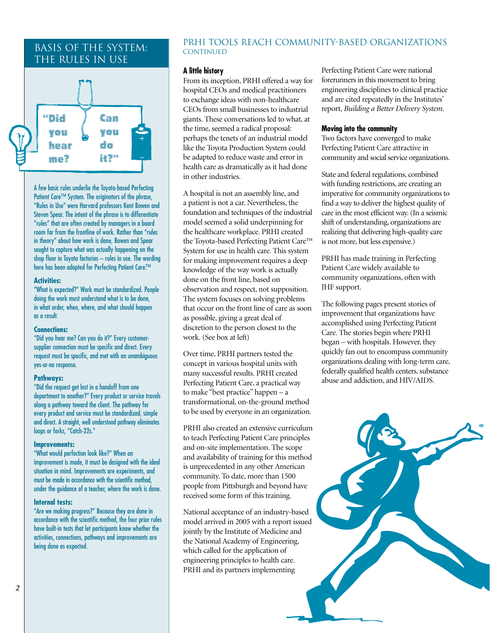#### Basis of the system: The Rules in UsE



A few basic rules underlie the Toyota-based Perfecting Patient Care™ System. The originators of the phrase, "Rules in Use" were Harvard professors Kent Bowen and Steven Spear. The intent of the phrase is to differentiate "rules" that are often created by managers in a board room far from the frontline of work. Rather than "rules in theory" about how work is done, Bowen and Spear sought to capture what was actually happening on the shop floor in Toyota factories – rules in use. The wording here has been adapted for Perfecting Patient Care.™

#### **Activities:**

"What is expected?" Work must be standardized. People doing the work must understand what is to be done, in what order, when, where, and what should happen as a result.

#### **Connections:**

"Did you hear me? Can you do it?" Every customersupplier connection must be specific and direct. Every request must be specific, and met with an unambiguous yes-or-no response.

#### **Pathways:**

"Did the request get lost in a handoff from one department to another?" Every product or service travels along a pathway toward the client. The pathway for every product and service must be standardized, simple and direct. A straight, well understood pathway eliminates loops or forks, "Catch-22s."

#### **Improvements:**

"What would perfection look like?" When an improvement is made, it must be designed with the ideal situation in mind. Improvements are experiments, and must be made in accordance with the scientific method, under the guidance of a teacher, where the work is done.

#### **Internal tests:**

"Are we making progress?" Because they are done in accordance with the scientific method, the four prior rules have built-in tests that let participants know whether the activities, connections, pathways and improvements are being done as expected.

#### PRHI tools reach community-based organizations CONTINUED

#### **A little history**

From its inception, PRHI offered a way for hospital CEOs and medical practitioners to exchange ideas with non-healthcare CEOs from small businesses to industrial giants. These conversations led to what, at the time, seemed a radical proposal: perhaps the tenets of an industrial model like the Toyota Production System could be adapted to reduce waste and error in health care as dramatically as it had done in other industries.

A hospital is not an assembly line, and a patient is not a car. Nevertheless, the foundation and techniques of the industrial model seemed a solid underpinning for the healthcare workplace. PRHI created the Toyota-based Perfecting Patient Care™ System for use in health care. This system for making improvement requires a deep knowledge of the way work is actually done on the front line, based on observation and respect, not supposition. The system focuses on solving problems that occur on the front line of care as soon as possible, giving a great deal of discretion to the person closest to the work. (See box at left)

Over time, PRHI partners tested the concept in various hospital units with many successful results. PRHI created Perfecting Patient Care, a practical way to make "best practice" happen – a transformational, on-the-ground method to be used by everyone in an organization.

PRHI also created an extensive curriculum to teach Perfecting Patient Care principles and on-site implementation. The scope and availability of training for this method is unprecedented in any other American community. To date, more than 1500 people from Pittsburgh and beyond have received some form of this training.

National acceptance of an industry-based model arrived in 2005 with a report issued jointly by the Institute of Medicine and the National Academy of Engineering, which called for the application of engineering principles to health care. PRHI and its partners implementing

Perfecting Patient Care were national forerunners in this movement to bring engineering disciplines to clinical practice and are cited repeatedly in the Institutes' report, *Building a Better Delivery System*.

#### **Moving into the community**

Two factors have converged to make Perfecting Patient Care attractive in community and social service organizations.

State and federal regulations, combined with funding restrictions, are creating an imperative for community organizations to find a way to deliver the highest quality of care in the most efficient way. (In a seismic shift of understanding, organizations are realizing that delivering high-quality care is not more, but less expensive.)

PRHI has made training in Perfecting Patient Care widely available to community organizations, often with JHF support.

The following pages present stories of improvement that organizations have accomplished using Perfecting Patient Care. The stories begin where PRHI began – with hospitals. However, they quickly fan out to encompass community organizations dealing with long-term care, federally qualified health centers, substance abuse and addiction, and HIV/AIDS.

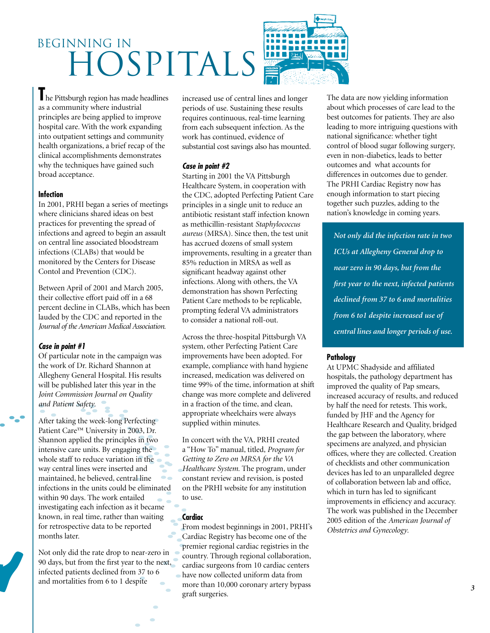# BEGINNING IN HOSPITALS

**T**he Pittsburgh region has made headlines as a community where industrial principles are being applied to improve hospital care. With the work expanding into outpatient settings and community health organizations, a brief recap of the clinical accomplishments demonstrates why the techniques have gained such broad acceptance.

#### **Infection**

In 2001, PRHI began a series of meetings where clinicians shared ideas on best practices for preventing the spread of infections and agreed to begin an assault on central line associated bloodstream infections (CLABs) that would be monitored by the Centers for Disease Contol and Prevention (CDC).

Between April of 2001 and March 2005, their collective effort paid off in a 68 percent decline in CLABs, which has been lauded by the CDC and reported in the *Journal of the American Medical Association*.

#### **Case in point #1**

Of particular note in the campaign was the work of Dr. Richard Shannon at Allegheny General Hospital. His results will be published later this year in the *Joint Commission Journal on Quality and Patient Safety*.

After taking the week-long Perfecting Patient Care™ University in 2003, Dr. Shannon applied the principles in two intensive care units. By engaging the whole staff to reduce variation in the way central lines were inserted and maintained, he believed, central line infections in the units could be eliminated within 90 days. The work entailed investigating each infection as it became known, in real time, rather than waiting for retrospective data to be reported months later.

Not only did the rate drop to near-zero in 90 days, but from the first year to the next, infected patients declined from 37 to 6 and mortalities from 6 to 1 despite

increased use of central lines and longer periods of use. Sustaining these results requires continuous, real-time learning from each subsequent infection. As the work has continued, evidence of substantial cost savings also has mounted.

#### **Case in point #2**

Starting in 2001 the VA Pittsburgh Healthcare System, in cooperation with the CDC, adopted Perfecting Patient Care principles in a single unit to reduce an antibiotic resistant staff infection known as methicillin-resistant *Staphylococcus aureus* (MRSA). Since then, the test unit has accrued dozens of small system improvements, resulting in a greater than 85% reduction in MRSA as well as significant headway against other infections. Along with others, the VA demonstration has shown Perfecting Patient Care methods to be replicable, prompting federal VA administrators to consider a national roll-out.

Across the three-hospital Pittsburgh VA system, other Perfecting Patient Care improvements have been adopted. For example, compliance with hand hygiene increased, medication was delivered on time 99% of the time, information at shift change was more complete and delivered in a fraction of the time, and clean, appropriate wheelchairs were always supplied within minutes.

In concert with the VA, PRHI created a "How To" manual, titled, *Program for Getting to Zero on MRSA for the VA Healthcare System*. The program, under constant review and revision, is posted on the PRHI website for any institution to use.

#### **Cardiac**

From modest beginnings in 2001, PRHI's Cardiac Registry has become one of the premier regional cardiac registries in the country. Through regional collaboration, cardiac surgeons from 10 cardiac centers have now collected uniform data from more than 10,000 coronary artery bypass graft surgeries.

The data are now yielding information about which processes of care lead to the best outcomes for patients. They are also leading to more intriguing questions with national significance: whether tight control of blood sugar following surgery, even in non-diabetics, leads to better outcomes and what accounts for differences in outcomes due to gender. The PRHI Cardiac Registry now has enough information to start piecing together such puzzles, adding to the nation's knowledge in coming years.

*Not only did the infection rate in two ICUs at Allegheny General drop to near zero in 90 days, but from the first year to the next, infected patients declined from 37 to 6 and mortalities from 6 to1 despite increased use of central lines and longer periods of use.*

#### **Pathology**

At UPMC Shadyside and affiliated hospitals, the pathology department has improved the quality of Pap smears, increased accuracy of results, and reduced by half the need for retests. This work, funded by JHF and the Agency for Healthcare Research and Quality, bridged the gap between the laboratory, where specimens are analyzed, and physician offices, where they are collected. Creation of checklists and other communication devices has led to an unparalleled degree of collaboration between lab and office, which in turn has led to significant improvements in efficiency and accuracy. The work was published in the December 2005 edition of the *American Journal of Obstetrics and Gynecology*.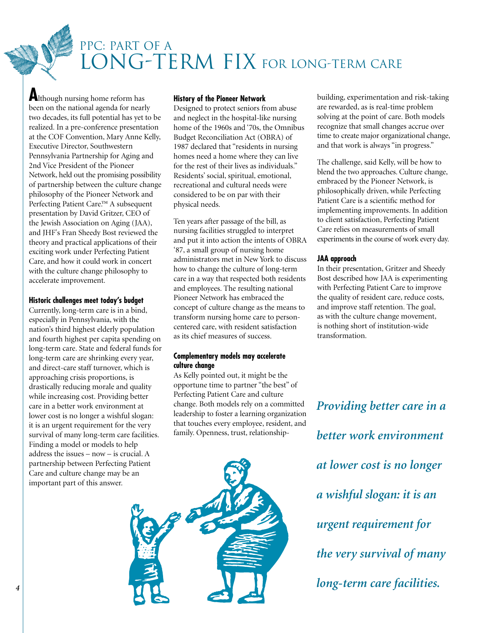PPC: PART OF A LONG-TERM FIX FOR LONG-TERM CARE

**A**lthough nursing home reform has been on the national agenda for nearly two decades, its full potential has yet to be realized. In a pre-conference presentation at the COF Convention, Mary Anne Kelly, Executive Director, Southwestern Pennsylvania Partnership for Aging and 2nd Vice President of the Pioneer Network, held out the promising possibility of partnership between the culture change philosophy of the Pioneer Network and Perfecting Patient Care.™ A subsequent presentation by David Gritzer, CEO of the Jewish Association on Aging (JAA), and JHF's Fran Sheedy Bost reviewed the theory and practical applications of their exciting work under Perfecting Patient Care, and how it could work in concert with the culture change philosophy to accelerate improvement.

#### **Historic challenges meet today's budget**

Currently, long-term care is in a bind, especially in Pennsylvania, with the nation's third highest elderly population and fourth highest per capita spending on long-term care. State and federal funds for long-term care are shrinking every year, and direct-care staff turnover, which is approaching crisis proportions, is drastically reducing morale and quality while increasing cost. Providing better care in a better work environment at lower cost is no longer a wishful slogan: it is an urgent requirement for the very survival of many long-term care facilities. Finding a model or models to help address the issues – now – is crucial. A partnership between Perfecting Patient Care and culture change may be an important part of this answer.

#### **History of the Pioneer Network**

Designed to protect seniors from abuse and neglect in the hospital-like nursing home of the 1960s and '70s, the Omnibus Budget Reconciliation Act (OBRA) of 1987 declared that "residents in nursing homes need a home where they can live for the rest of their lives as individuals." Residents' social, spiritual, emotional, recreational and cultural needs were considered to be on par with their physical needs.

Ten years after passage of the bill, as nursing facilities struggled to interpret and put it into action the intents of OBRA '87, a small group of nursing home administrators met in New York to discuss how to change the culture of long-term care in a way that respected both residents and employees. The resulting national Pioneer Network has embraced the concept of culture change as the means to transform nursing home care to personcentered care, with resident satisfaction as its chief measures of success.

#### **Complementary models may accelerate culture change**

As Kelly pointed out, it might be the opportune time to partner "the best" of Perfecting Patient Care and culture change. Both models rely on a committed leadership to foster a learning organization that touches every employee, resident, and family. Openness, trust, relationship-

building, experimentation and risk-taking are rewarded, as is real-time problem solving at the point of care. Both models recognize that small changes accrue over time to create major organizational change, and that work is always "in progress."

The challenge, said Kelly, will be how to blend the two approaches. Culture change, embraced by the Pioneer Network, is philosophically driven, while Perfecting Patient Care is a scientific method for implementing improvements. In addition to client satisfaction, Perfecting Patient Care relies on measurements of small experiments in the course of work every day.

#### **JAA approach**

In their presentation, Gritzer and Sheedy Bost described how JAA is experimenting with Perfecting Patient Care to improve the quality of resident care, reduce costs, and improve staff retention. The goal, as with the culture change movement, is nothing short of institution-wide transformation.

*Providing better care in a better work environment at lower cost is no longer a wishful slogan: it is an urgent requirement for the very survival of many long-term care facilities.*

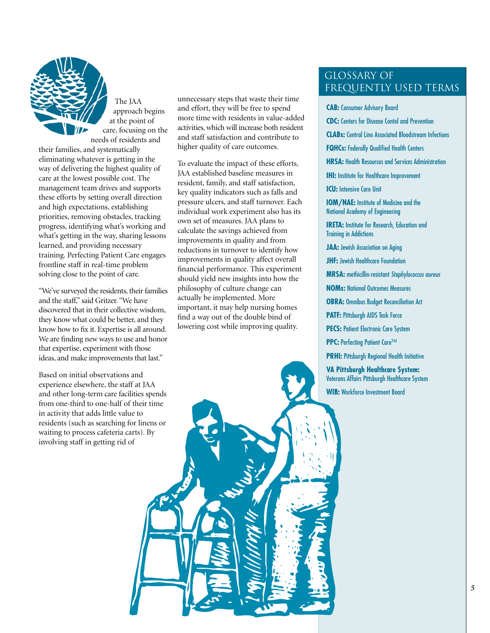

The JAA approach begins at the point of care, focusing on the needs of residents and

their families, and systematically eliminating whatever is getting in the way of delivering the highest quality of care at the lowest possible cost. The management team drives and supports these efforts by setting overall direction and high expectations, establishing priorities, removing obstacles, tracking progress, identifying what's working and what's getting in the way, sharing lessons learned, and providing necessary training. Perfecting Patient Care engages frontline staff in real-time problem solving close to the point of care.

"We've surveyed the residents, their families and the staff," said Gritzer. "We have discovered that in their collective wisdom, they know what could be better, and they know how to fix it. Expertise is all around. We are finding new ways to use and honor that expertise, experiment with those ideas, and make improvements that last."

Based on initial observations and experience elsewhere, the staff at JAA and other long-term care facilities spends from one-third to one-half of their time in activity that adds little value to residents (such as searching for linens or waiting to process cafeteria carts). By involving staff in getting rid of

unnecessary steps that waste their time and effort, they will be free to spend more time with residents in value-added activities, which will increase both resident and staff satisfaction and contribute to higher quality of care outcomes.

To evaluate the impact of these efforts, JAA established baseline measures in resident, family, and staff satisfaction, key quality indicators such as falls and pressure ulcers, and staff turnover. Each individual work experiment also has its own set of measures. JAA plans to calculate the savings achieved from improvements in quality and from reductions in turnover to identify how improvements in quality affect overall financial performance. This experiment should yield new insights into how the philosophy of culture change can actually be implemented. More important, it may help nursing homes find a way out of the double bind of lowering cost while improving quality.

#### Glossary of frequently used terms

**CAB:** Consumer Advisory Board

**CDC:** Centers for Disease Contol and Prevention

**CLABs:** Central Line Associated Bloodstream Infections

**FQHCs:** Federally Qualified Health Centers

**HRSA:** Health Resources and Services Administration

**IHI:** Institute for Healthcare Improvement

**ICU:** Intensive Care Unit

**IOM/NAE:** Institute of Medicine and the National Academy of Engineering

**IRETA:** Institute for Research, Education and Training in Addictions

**JAA: Jewish Association on Aging** 

**JHF: Jewish Healthcare Foundation** 

**MRSA:** methicillin-resistant Staphylococcus aureus

**NOMs:** National Outcomes Measures

**OBRA:** Omnibus Budget Reconciliation Act

**PATF: Pittsburgh AIDS Task Force** 

**PECS: Patient Electronic Care System** 

**PPC: Perfecting Patient Care™** 

**PRHI:** Pittsburgh Regional Health Initiative

**VA Pittsburgh Healthcare System:** Veterans Affairs Pittsburgh Healthcare System **WIB:** Workforce Investment Board

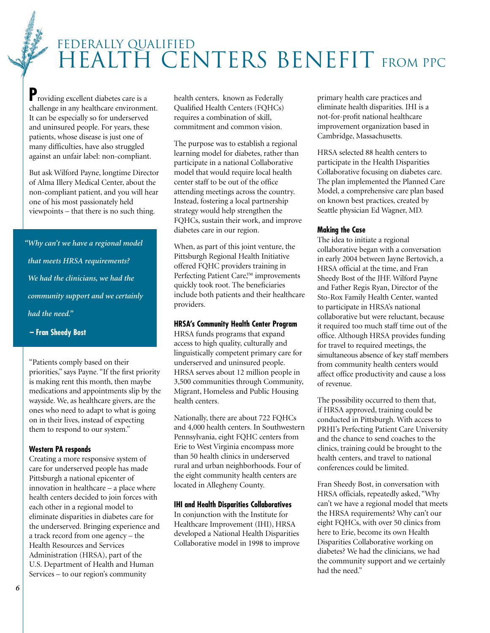## FEDERALLY QUALIFIED HEALTH CENTERS BENEFIT FROM PPC

**P**roviding excellent diabetes care is a challenge in any healthcare environment. It can be especially so for underserved and uninsured people. For years, these patients, whose disease is just one of many difficulties, have also struggled against an unfair label: non-compliant.

But ask Wilford Payne, longtime Director of Alma Illery Medical Center, about the non-compliant patient, and you will hear one of his most passionately held viewpoints – that there is no such thing.

*"Why can't we have a regional model that meets HRSA requirements? We had the clinicians, we had the community support and we certainly had the need."*

**– Fran Sheedy Bost**

"Patients comply based on their priorities," says Payne. "If the first priority is making rent this month, then maybe medications and appointments slip by the wayside. We, as healthcare givers, are the ones who need to adapt to what is going on in their lives, instead of expecting them to respond to our system."

#### **Western PA responds**

Creating a more responsive system of care for underserved people has made Pittsburgh a national epicenter of innovation in healthcare – a place where health centers decided to join forces with each other in a regional model to eliminate disparities in diabetes care for the underserved. Bringing experience and a track record from one agency – the Health Resources and Services Administration (HRSA), part of the U.S. Department of Health and Human Services – to our region's community

health centers, known as Federally Qualified Health Centers (FQHCs) requires a combination of skill, commitment and common vision.

The purpose was to establish a regional learning model for diabetes, rather than participate in a national Collaborative model that would require local health center staff to be out of the office attending meetings across the country. Instead, fostering a local partnership strategy would help strengthen the FQHCs, sustain their work, and improve diabetes care in our region.

When, as part of this joint venture, the Pittsburgh Regional Health Initiative offered FQHC providers training in Perfecting Patient Care,™ improvements quickly took root. The beneficiaries include both patients and their healthcare providers.

#### **HRSA's Community Health Center Program**

HRSA funds programs that expand access to high quality, culturally and linguistically competent primary care for underserved and uninsured people. HRSA serves about 12 million people in 3,500 communities through Community, Migrant, Homeless and Public Housing health centers.

Nationally, there are about 722 FQHCs and 4,000 health centers. In Southwestern Pennsylvania, eight FQHC centers from Erie to West Virginia encompass more than 50 health clinics in underserved rural and urban neighborhoods. Four of the eight community health centers are located in Allegheny County.

#### **IHI and Health Disparities Collaboratives**

In conjunction with the Institute for Healthcare Improvement (IHI), HRSA developed a National Health Disparities Collaborative model in 1998 to improve primary health care practices and eliminate health disparities. IHI is a not-for-profit national healthcare improvement organization based in Cambridge, Massachusetts.

HRSA selected 88 health centers to participate in the Health Disparities Collaborative focusing on diabetes care. The plan implemented the Planned Care Model, a comprehensive care plan based on known best practices, created by Seattle physician Ed Wagner, MD.

#### **Making the Case**

The idea to initiate a regional collaborative began with a conversation in early 2004 between Jayne Bertovich, a HRSA official at the time, and Fran Sheedy Bost of the JHF. Wilford Payne and Father Regis Ryan, Director of the Sto-Rox Family Health Center, wanted to participate in HRSA's national collaborative but were reluctant, because it required too much staff time out of the office. Although HRSA provides funding for travel to required meetings, the simultaneous absence of key staff members from community health centers would affect office productivity and cause a loss of revenue.

The possibility occurred to them that, if HRSA approved, training could be conducted in Pittsburgh. With access to PRHI's Perfecting Patient Care University and the chance to send coaches to the clinics, training could be brought to the health centers, and travel to national conferences could be limited.

Fran Sheedy Bost, in conversation with HRSA officials, repeatedly asked, "Why can't we have a regional model that meets the HRSA requirements? Why can't our eight FQHCs, with over 50 clinics from here to Erie, become its own Health Disparities Collaborative working on diabetes? We had the clinicians, we had the community support and we certainly had the need."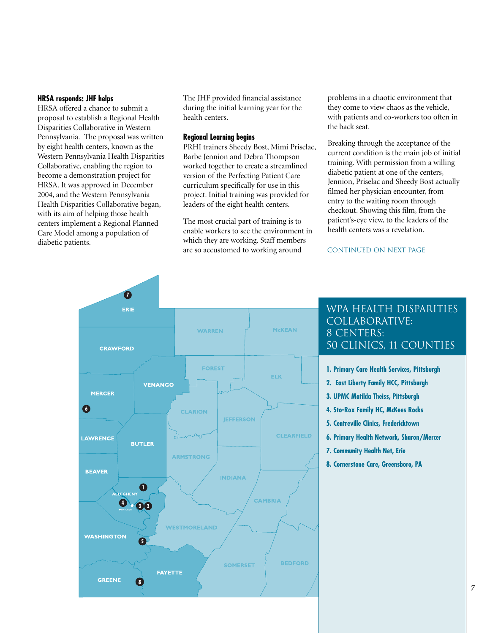#### **HRSA responds: JHF helps**

HRSA offered a chance to submit a proposal to establish a Regional Health Disparities Collaborative in Western Pennsylvania. The proposal was written by eight health centers, known as the Western Pennsylvania Health Disparities Collaborative, enabling the region to become a demonstration project for HRSA. It was approved in December 2004, and the Western Pennsylvania Health Disparities Collaborative began, with its aim of helping those health centers implement a Regional Planned Care Model among a population of diabetic patients.

The JHF provided financial assistance during the initial learning year for the health centers.

#### **Regional Learning begins**

PRHI trainers Sheedy Bost, Mimi Priselac, Barbe Jennion and Debra Thompson worked together to create a streamlined version of the Perfecting Patient Care curriculum specifically for use in this project. Initial training was provided for leaders of the eight health centers.

The most crucial part of training is to enable workers to see the environment in which they are working. Staff members are so accustomed to working around

problems in a chaotic environment that they come to view chaos as the vehicle, with patients and co-workers too often in the back seat.

Breaking through the acceptance of the current condition is the main job of initial training. With permission from a willing diabetic patient at one of the centers, Jennion, Priselac and Sheedy Bost actually filmed her physician encounter, from entry to the waiting room through checkout. Showing this film, from the patient's-eye view, to the leaders of the health centers was a revelation.

CONTINUED ON NEXT PAGE



#### WPA Health Disparities Collaborative: 8 CENTERS: 50 Clinics, 11 counties

- **1. Primary Care Health Services, Pittsburgh**
- **2. East Liberty Family HCC, Pittsburgh**
- **3. UPMC Matilda Theiss, Pittsburgh**
- **4. Sto-Rox Family HC, McKees Rocks**
- **5. Centreville Clinics, Fredericktown**
- **6. Primary Health Network, Sharon/Mercer**
- **7. Community Health Net, Erie**
- **8. Cornerstone Care, Greensboro, PA**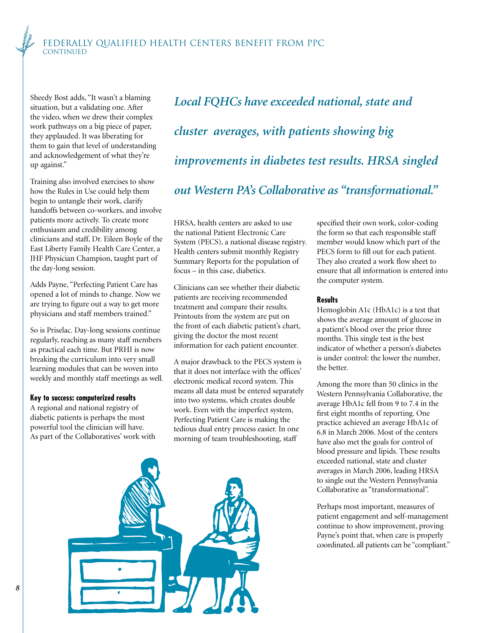Sheedy Bost adds, "It wasn't a blaming situation, but a validating one. After the video, when we drew their complex work pathways on a big piece of paper, they applauded. It was liberating for them to gain that level of understanding and acknowledgement of what they're up against."

Training also involved exercises to show how the Rules in Use could help them begin to untangle their work, clarify handoffs between co-workers, and involve patients more actively. To create more enthusiasm and credibility among clinicians and staff, Dr. Eileen Boyle of the East Liberty Family Health Care Center, a JHF Physician Champion, taught part of the day-long session.

Adds Payne, "Perfecting Patient Care has opened a lot of minds to change. Now we are trying to figure out a way to get more physicians and staff members trained."

So is Priselac. Day-long sessions continue regularly, reaching as many staff members as practical each time. But PRHI is now breaking the curriculum into very small learning modules that can be woven into weekly and monthly staff meetings as well.

#### **Key to success: computerized results**

A regional and national registry of diabetic patients is perhaps the most powerful tool the clinician will have. As part of the Collaboratives' work with *Local FQHCs have exceeded national, state and cluster averages, with patients showing big improvements in diabetes test results. HRSA singled out Western PA's Collaborative as "transformational."*

HRSA, health centers are asked to use the national Patient Electronic Care System (PECS), a national disease registry. Health centers submit monthly Registry Summary Reports for the population of focus – in this case, diabetics.

Clinicians can see whether their diabetic patients are receiving recommended treatment and compare their results. Printouts from the system are put on the front of each diabetic patient's chart, giving the doctor the most recent information for each patient encounter.

A major drawback to the PECS system is that it does not interface with the offices' electronic medical record system. This means all data must be entered separately into two systems, which creates double work. Even with the imperfect system, Perfecting Patient Care is making the tedious dual entry process easier. In one morning of team troubleshooting, staff



#### **Results**

Hemoglobin A1c (HbA1c) is a test that shows the average amount of glucose in a patient's blood over the prior three months. This single test is the best indicator of whether a person's diabetes is under control: the lower the number, the better.

Among the more than 50 clinics in the Western Pennsylvania Collaborative, the average HbA1c fell from 9 to 7.4 in the first eight months of reporting. One practice achieved an average HbA1c of 6.8 in March 2006. Most of the centers have also met the goals for control of blood pressure and lipids. These results exceeded national, state and cluster averages in March 2006, leading HRSA to single out the Western Pennsylvania Collaborative as "transformational".

Perhaps most important, measures of patient engagement and self-management continue to show improvement, proving Payne's point that, when care is properly coordinated, all patients can be "compliant."

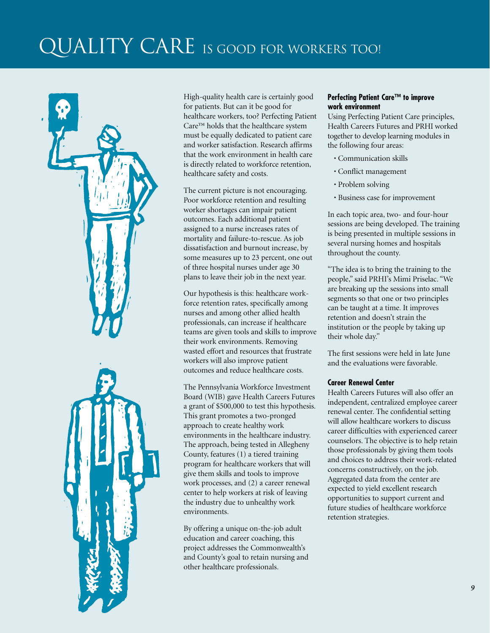## QUALITY CARE IS GOOD FOR WORKERS TOO!



High-quality health care is certainly good for patients. But can it be good for healthcare workers, too? Perfecting Patient Care™ holds that the healthcare system must be equally dedicated to patient care and worker satisfaction. Research affirms that the work environment in health care is directly related to workforce retention, healthcare safety and costs.

The current picture is not encouraging. Poor workforce retention and resulting worker shortages can impair patient outcomes. Each additional patient assigned to a nurse increases rates of mortality and failure-to-rescue. As job dissatisfaction and burnout increase, by some measures up to 23 percent, one out of three hospital nurses under age 30 plans to leave their job in the next year.

Our hypothesis is this: healthcare workforce retention rates, specifically among nurses and among other allied health professionals, can increase if healthcare teams are given tools and skills to improve their work environments. Removing wasted effort and resources that frustrate workers will also improve patient outcomes and reduce healthcare costs.

The Pennsylvania Workforce Investment Board (WIB) gave Health Careers Futures a grant of \$500,000 to test this hypothesis. This grant promotes a two-pronged approach to create healthy work environments in the healthcare industry. The approach, being tested in Allegheny County, features (1) a tiered training program for healthcare workers that will give them skills and tools to improve work processes, and (2) a career renewal center to help workers at risk of leaving the industry due to unhealthy work environments.

By offering a unique on-the-job adult education and career coaching, this project addresses the Commonwealth's and County's goal to retain nursing and other healthcare professionals.

#### **Perfecting Patient Care™ to improve work environment**

Using Perfecting Patient Care principles, Health Careers Futures and PRHI worked together to develop learning modules in the following four areas:

- Communication skills
- Conflict management
- Problem solving
- Business case for improvement

In each topic area, two- and four-hour sessions are being developed. The training is being presented in multiple sessions in several nursing homes and hospitals throughout the county.

"The idea is to bring the training to the people," said PRHI's Mimi Priselac. "We are breaking up the sessions into small segments so that one or two principles can be taught at a time. It improves retention and doesn't strain the institution or the people by taking up their whole day."

The first sessions were held in late June and the evaluations were favorable.

#### **Career Renewal Center**

Health Careers Futures will also offer an independent, centralized employee career renewal center. The confidential setting will allow healthcare workers to discuss career difficulties with experienced career counselors. The objective is to help retain those professionals by giving them tools and choices to address their work-related concerns constructively, on the job. Aggregated data from the center are expected to yield excellent research opportunities to support current and future studies of healthcare workforce retention strategies.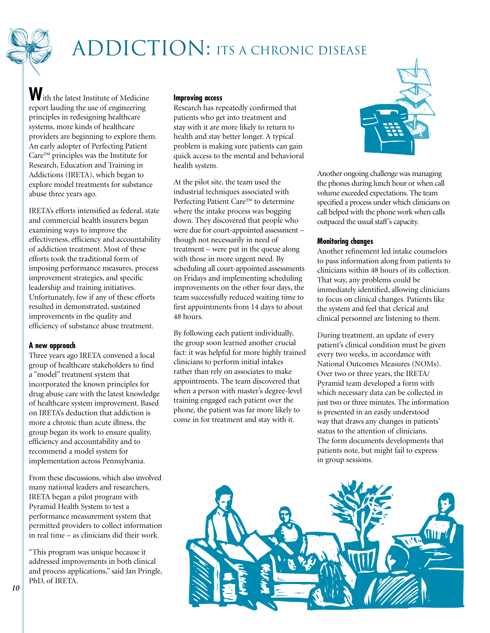# ADDICTION: ITS A CHRONIC DISEASE

**W**ith the latest Institute of Medicine report lauding the use of engineering principles in redesigning healthcare systems, more kinds of healthcare providers are beginning to explore them. An early adopter of Perfecting Patient Care™ principles was the Institute for Research, Education and Training in Addictions (IRETA), which began to explore model treatments for substance abuse three years ago.

IRETA's efforts intensified as federal, state and commercial health insurers began examining ways to improve the effectiveness, efficiency and accountability of addiction treatment. Most of these efforts took the traditional form of imposing performance measures, process improvement strategies, and specific leadership and training initiatives. Unfortunately, few if any of these efforts resulted in demonstrated, sustained improvements in the quality and efficiency of substance abuse treatment.

#### **A new approach**

Three years ago IRETA convened a local group of healthcare stakeholders to find a "model" treatment system that incorporated the known principles for drug abuse care with the latest knowledge of healthcare system improvement. Based on IRETA's deduction that addiction is more a chronic than acute illness, the group began its work to ensure quality, efficiency and accountability and to recommend a model system for implementation across Pennsylvania.

From these discussions, which also involved many national leaders and researchers, IRETA began a pilot program with Pyramid Health System to test a performance measurement system that permitted providers to collect information in real time – as clinicians did their work.

"This program was unique because it addressed improvements in both clinical and process applications," said Jan Pringle, PhD, of IRETA.

#### **Improving access**

Research has repeatedly confirmed that patients who get into treatment and stay with it are more likely to return to health and stay better longer. A typical problem is making sure patients can gain quick access to the mental and behavioral health system.

At the pilot site, the team used the industrial techniques associated with Perfecting Patient Care™ to determine where the intake process was bogging down. They discovered that people who were due for court-appointed assessment – though not necessarily in need of treatment – were put in the queue along with those in more urgent need. By scheduling all court-appointed assessments on Fridays and implementing scheduling improvements on the other four days, the team successfully reduced waiting time to first appointments from 14 days to about 48 hours.

By following each patient individually, the group soon learned another crucial fact: it was helpful for more highly trained clinicians to perform initial intakes rather than rely on associates to make appointments. The team discovered that when a person with master's degree-level training engaged each patient over the phone, the patient was far more likely to come in for treatment and stay with it.



Another ongoing challenge was managing the phones during lunch hour or when call volume exceeded expectations. The team specified a process under which clinicians on call helped with the phone work when calls outpaced the usual staff's capacity.

#### **Monitoring changes**

Another refinement led intake counselors to pass information along from patients to clinicians within 48 hours of its collection. That way, any problems could be immediately identified, allowing clinicians to focus on clinical changes. Patients like the system and feel that clerical and clinical personnel are listening to them.

During treatment, an update of every patient's clinical condition must be given every two weeks, in accordance with National Outcomes Measures (NOMs). Over two or three years, the IRETA/ Pyramid team developed a form with which necessary data can be collected in just two or three minutes. The information is presented in an easily understood way that draws any changes in patients' status to the attention of clinicians. The form documents developments that patients note, but might fail to express in group sessions.

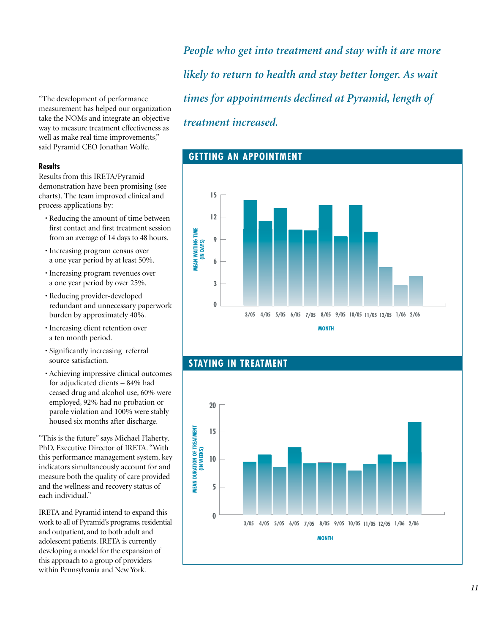"The development of performance measurement has helped our organization take the NOMs and integrate an objective way to measure treatment effectiveness as well as make real time improvements," said Pyramid CEO Jonathan Wolfe.

#### **Results**

Results from this IRETA/Pyramid demonstration have been promising (see charts). The team improved clinical and process applications by:

- Reducing the amount of time between first contact and first treatment session from an average of 14 days to 48 hours.
- Increasing program census over a one year period by at least 50%.
- Increasing program revenues over a one year period by over 25%.
- Reducing provider-developed redundant and unnecessary paperwork burden by approximately 40%.
- Increasing client retention over a ten month period.
- Significantly increasing referral source satisfaction.
- Achieving impressive clinical outcomes for adjudicated clients – 84% had ceased drug and alcohol use, 60% were employed, 92% had no probation or parole violation and 100% were stably housed six months after discharge.

"This is the future" says Michael Flaherty, PhD, Executive Director of IRETA. "With this performance management system, key indicators simultaneously account for and measure both the quality of care provided and the wellness and recovery status of each individual."

IRETA and Pyramid intend to expand this work to all of Pyramid's programs, residential and outpatient, and to both adult and adolescent patients. IRETA is currently developing a model for the expansion of this approach to a group of providers within Pennsylvania and New York.

*People who get into treatment and stay with it are more likely to return to health and stay better longer. As wait times for appointments declined at Pyramid, length of treatment increased.*





#### **STAYING IN TREATMENT**